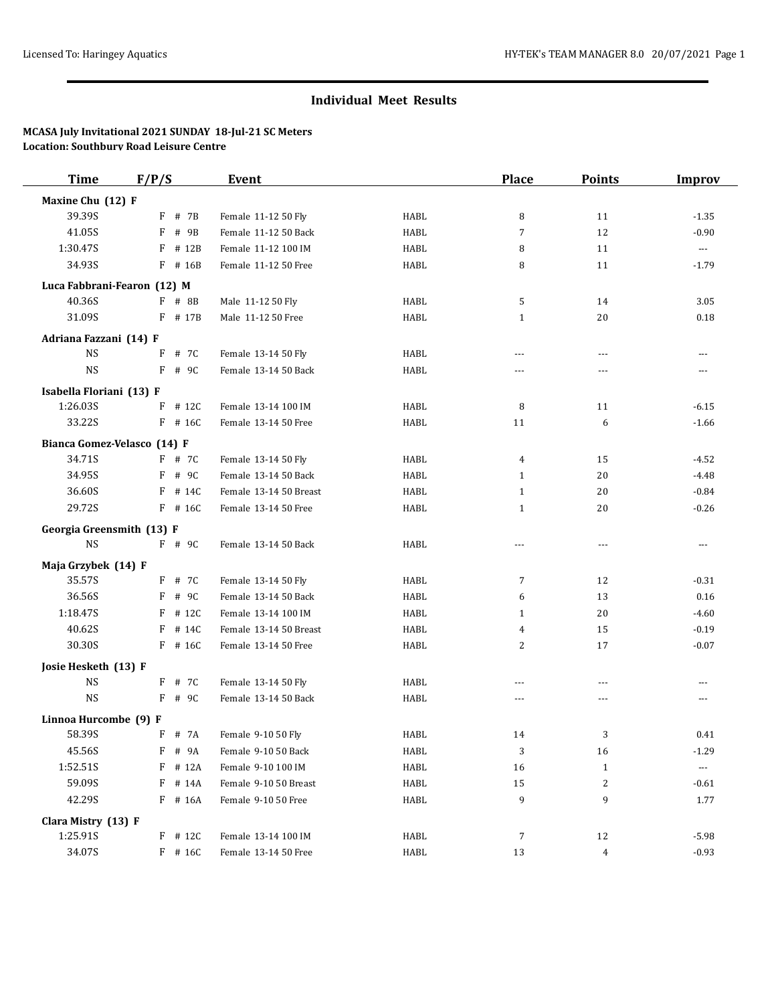## **Individual Meet Results**

## **MCASA July Invitational 2021 SUNDAY 18-Jul-21 SC Meters Location: Southbury Road Leisure Centre**

| <b>Time</b>                 | F/P/S      | <b>Event</b>           |             | <b>Place</b>   | <b>Points</b>  | <b>Improv</b>        |
|-----------------------------|------------|------------------------|-------------|----------------|----------------|----------------------|
| Maxine Chu (12) F           |            |                        |             |                |                |                      |
| 39.39S                      | F # 7B     | Female 11-12 50 Fly    | HABL        | 8              | 11             | $-1.35$              |
| 41.05S                      | F<br># 9B  | Female 11-12 50 Back   | <b>HABL</b> | $\overline{7}$ | 12             | $-0.90$              |
| 1:30.47S                    | # 12B<br>F | Female 11-12 100 IM    | <b>HABL</b> | 8              | 11             | $\scriptstyle\cdots$ |
| 34.93S                      | F # 16B    | Female 11-12 50 Free   | <b>HABL</b> | 8              | 11             | $-1.79$              |
| Luca Fabbrani-Fearon (12) M |            |                        |             |                |                |                      |
| 40.36S                      | F # 8B     | Male 11-12 50 Fly      | <b>HABL</b> | 5              | 14             | 3.05                 |
| 31.09S                      | F # 17B    | Male 11-12 50 Free     | <b>HABL</b> | 1              | 20             | 0.18                 |
| Adriana Fazzani (14) F      |            |                        |             |                |                |                      |
| <b>NS</b>                   | F<br># 7C  | Female 13-14 50 Fly    | HABL        | $\overline{a}$ | $\cdots$       | $---$                |
| $_{\rm NS}$                 | # 9C<br>F  | Female 13-14 50 Back   | <b>HABL</b> | $\overline{a}$ | $\overline{a}$ | $---$                |
| Isabella Floriani (13) F    |            |                        |             |                |                |                      |
| 1:26.03S                    | # 12C<br>F | Female 13-14 100 IM    | <b>HABL</b> | 8              | 11             | $-6.15$              |
| 33.22S                      | $F$ # 16C  | Female 13-14 50 Free   | <b>HABL</b> | 11             | 6              | $-1.66$              |
| Bianca Gomez-Velasco (14) F |            |                        |             |                |                |                      |
| 34.71S                      | F # 7C     | Female 13-14 50 Fly    | <b>HABL</b> | $\overline{4}$ | 15             | $-4.52$              |
| 34.95S                      | F # 9C     | Female 13-14 50 Back   | <b>HABL</b> | 1              | 20             | $-4.48$              |
| 36.60S                      | F<br># 14C | Female 13-14 50 Breast | HABL        | 1              | 20             | $-0.84$              |
| 29.72S                      | $F$ # 16C  | Female 13-14 50 Free   | HABL        | 1              | 20             | $-0.26$              |
| Georgia Greensmith (13) F   |            |                        |             |                |                |                      |
| <b>NS</b>                   | F # 9C     | Female 13-14 50 Back   | HABL        | ---            | $\cdots$       | ---                  |
| Maja Grzybek (14) F         |            |                        |             |                |                |                      |
| 35.57S                      | $F$ # 7C   | Female 13-14 50 Fly    | <b>HABL</b> | $\overline{7}$ | 12             | $-0.31$              |
| 36.56S                      | F # 9C     | Female 13-14 50 Back   | HABL        | 6              | 13             | 0.16                 |
| 1:18.47S                    | F<br># 12C | Female 13-14 100 IM    | <b>HABL</b> | 1              | 20             | $-4.60$              |
| 40.62S                      | F<br># 14C | Female 13-14 50 Breast | <b>HABL</b> | 4              | 15             | $-0.19$              |
| 30.30S                      | $F$ # 16C  | Female 13-14 50 Free   | HABL        | 2              | 17             | $-0.07$              |
| Josie Hesketh (13) F        |            |                        |             |                |                |                      |
| <b>NS</b>                   | F # 7C     | Female 13-14 50 Fly    | HABL        | $\overline{a}$ | $---$          | $\cdots$             |
| <b>NS</b>                   | $F$ # 9C   | Female 13-14 50 Back   | <b>HABL</b> | ---            | ---            | $\cdots$             |
| Linnoa Hurcombe (9) F       |            |                        |             |                |                |                      |
| 58.39S                      | F<br># 7A  | Female 9-10 50 Fly     | HABL        | 14             | 3              | 0.41                 |
| 45.56S                      | F # 9A     | Female 9-10 50 Back    | HABL        | 3              | 16             | $-1.29$              |
| 1:52.51S                    | $F$ # 12A  | Female 9-10 100 IM     | HABL        | 16             | $\mathbf{1}$   | ---                  |
| 59.09S                      | # 14A<br>F | Female 9-10 50 Breast  | HABL        | 15             | 2              | $-0.61$              |
| 42.29S                      | $F$ # 16A  | Female 9-10 50 Free    | HABL        | 9              | 9              | 1.77                 |
| Clara Mistry (13) F         |            |                        |             |                |                |                      |
| 1:25.91S                    | $F$ # 12C  | Female 13-14 100 IM    | HABL        | $\overline{7}$ | 12             | $-5.98$              |
| 34.07S                      | $F$ # 16C  | Female 13-14 50 Free   | HABL        | 13             | 4              | $-0.93$              |